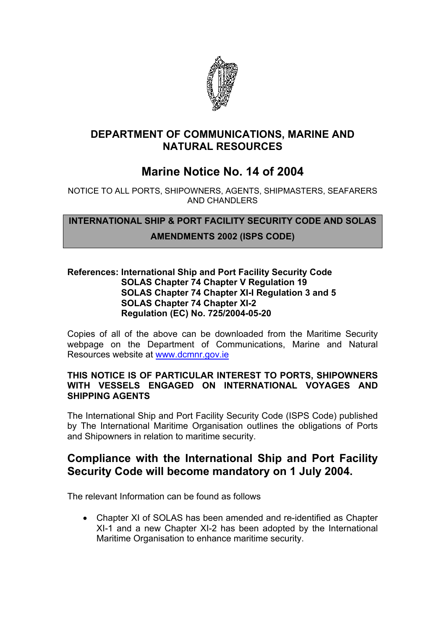

### **DEPARTMENT OF COMMUNICATIONS, MARINE AND NATURAL RESOURCES**

# **Marine Notice No. 14 of 2004**

NOTICE TO ALL PORTS, SHIPOWNERS, AGENTS, SHIPMASTERS, SEAFARERS AND CHANDLERS

**INTERNATIONAL SHIP & PORT FACILITY SECURITY CODE AND SOLAS AMENDMENTS 2002 (ISPS CODE)**

#### **References: International Ship and Port Facility Security Code SOLAS Chapter 74 Chapter V Regulation 19 SOLAS Chapter 74 Chapter XI-I Regulation 3 and 5 SOLAS Chapter 74 Chapter XI-2 Regulation (EC) No. 725/2004-05-20**

Copies of all of the above can be downloaded from the Maritime Security webpage on the Department of Communications, Marine and Natural Resources website at [www.dcmnr.gov.ie](http://www.dcmnr.gov.ie/)

#### **THIS NOTICE IS OF PARTICULAR INTEREST TO PORTS, SHIPOWNERS WITH VESSELS ENGAGED ON INTERNATIONAL VOYAGES AND SHIPPING AGENTS**

The International Ship and Port Facility Security Code (ISPS Code) published by The International Maritime Organisation outlines the obligations of Ports and Shipowners in relation to maritime security.

# **Compliance with the International Ship and Port Facility Security Code will become mandatory on 1 July 2004.**

The relevant Information can be found as follows

• Chapter XI of SOLAS has been amended and re-identified as Chapter XI-1 and a new Chapter XI-2 has been adopted by the International Maritime Organisation to enhance maritime security.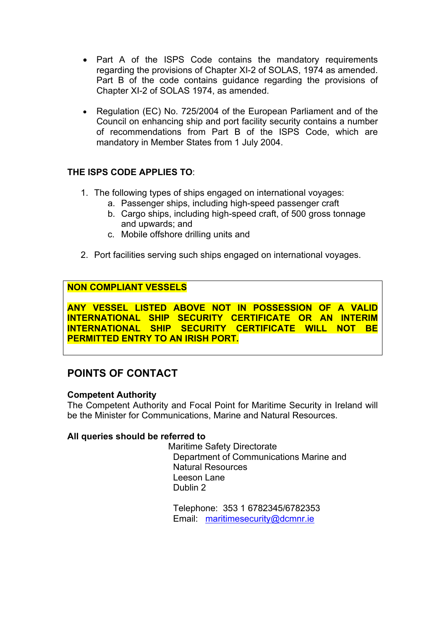- Part A of the ISPS Code contains the mandatory requirements regarding the provisions of Chapter XI-2 of SOLAS, 1974 as amended. Part B of the code contains guidance regarding the provisions of Chapter XI-2 of SOLAS 1974, as amended.
- Regulation (EC) No. 725/2004 of the European Parliament and of the Council on enhancing ship and port facility security contains a number of recommendations from Part B of the ISPS Code, which are mandatory in Member States from 1 July 2004.

### **THE ISPS CODE APPLIES TO**:

- 1. The following types of ships engaged on international voyages:
	- a. Passenger ships, including high-speed passenger craft
	- b. Cargo ships, including high-speed craft, of 500 gross tonnage and upwards; and
	- c. Mobile offshore drilling units and
- 2. Port facilities serving such ships engaged on international voyages.

### **NON COMPLIANT VESSELS**

**ANY VESSEL LISTED ABOVE NOT IN POSSESSION OF A VALID INTERNATIONAL SHIP SECURITY CERTIFICATE OR AN INTERIM INTERNATIONAL SHIP SECURITY CERTIFICATE WILL NOT BE PERMITTED ENTRY TO AN IRISH PORT.**

## **POINTS OF CONTACT**

#### **Competent Authority**

The Competent Authority and Focal Point for Maritime Security in Ireland will be the Minister for Communications, Marine and Natural Resources.

#### **All queries should be referred to**

Maritime Safety Directorate Department of Communications Marine and Natural Resources Leeson Lane Dublin 2

 Telephone: 353 1 6782345/6782353 Email: [maritimesecurity@dcmnr.ie](mailto:maritimesecurity@dcmnr.ie)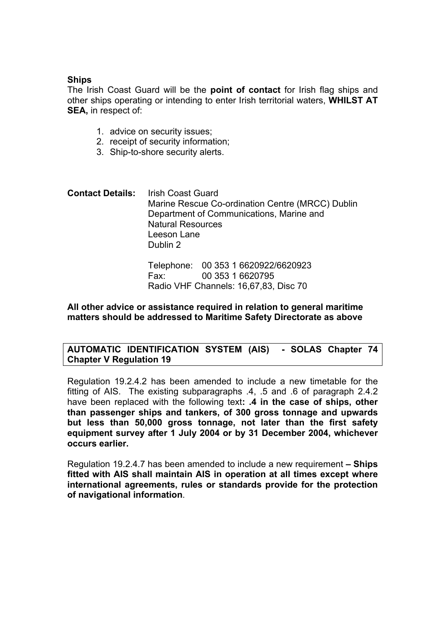#### **Ships**

The Irish Coast Guard will be the **point of contact** for Irish flag ships and other ships operating or intending to enter Irish territorial waters, **WHILST AT SEA,** in respect of:

- 1. advice on security issues;
- 2. receipt of security information;
- 3. Ship-to-shore security alerts.
- **Contact Details:** Irish Coast Guard Marine Rescue Co-ordination Centre (MRCC) Dublin Department of Communications, Marine and Natural Resources Leeson Lane Dublin 2

Telephone: 00 353 1 6620922/6620923 Fax: 00 353 1 6620795 Radio VHF Channels: 16,67,83, Disc 70

#### **All other advice or assistance required in relation to general maritime matters should be addressed to Maritime Safety Directorate as above**

#### **AUTOMATIC IDENTIFICATION SYSTEM (AIS) - SOLAS Chapter 74 Chapter V Regulation 19**

Regulation 19.2.4.2 has been amended to include a new timetable for the fitting of AIS. The existing subparagraphs .4, .5 and .6 of paragraph 2.4.2 have been replaced with the following text**: .4 in the case of ships, other than passenger ships and tankers, of 300 gross tonnage and upwards but less than 50,000 gross tonnage, not later than the first safety equipment survey after 1 July 2004 or by 31 December 2004, whichever occurs earlier.** 

Regulation 19.2.4.7 has been amended to include a new requirement **– Ships fitted with AIS shall maintain AIS in operation at all times except where international agreements, rules or standards provide for the protection of navigational information**.